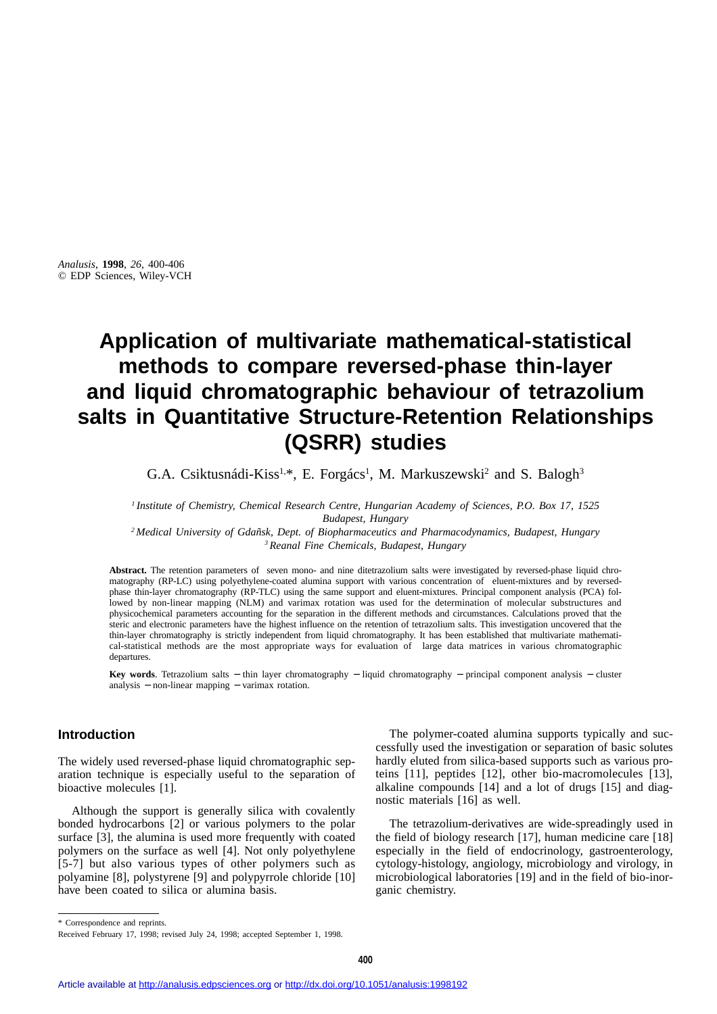*Analusis*, **1998**, *26*, 400-406 © EDP Sciences, Wiley-VCH

# **Application of multivariate mathematical-statistical methods to compare reversed-phase thin-layer and liquid chromatographic behaviour of tetrazolium salts in Quantitative Structure-Retention Relationships (QSRR) studies**

G.A. Csiktusnádi-Kiss<sup>1,\*</sup>, E. Forgács<sup>1</sup>, M. Markuszewski<sup>2</sup> and S. Balogh<sup>3</sup>

*<sup>1</sup> Institute of Chemistry, Chemical Research Centre, Hungarian Academy of Sciences, P.O. Box 17, 1525 Budapest, Hungary <sup>2</sup> Medical University of Gdañsk, Dept. of Biopharmaceutics and Pharmacodynamics, Budapest, Hungary*

*3Reanal Fine Chemicals, Budapest, Hungary*

**Abstract.** The retention parameters of seven mono- and nine ditetrazolium salts were investigated by reversed-phase liquid chromatography (RP-LC) using polyethylene-coated alumina support with various concentration of eluent-mixtures and by reversedphase thin-layer chromatography (RP-TLC) using the same support and eluent-mixtures. Principal component analysis (PCA) followed by non-linear mapping (NLM) and varimax rotation was used for the determination of molecular substructures and physicochemical parameters accounting for the separation in the different methods and circumstances. Calculations proved that the steric and electronic parameters have the highest influence on the retention of tetrazolium salts. This investigation uncovered that the thin-layer chromatography is strictly independent from liquid chromatography. It has been established that multivariate mathematical-statistical methods are the most appropriate ways for evaluation of large data matrices in various chromatographic departures.

**Key words**. Tetrazolium salts − thin layer chromatography − liquid chromatography − principal component analysis − cluster analysis − non-linear mapping − varimax rotation.

### **Introduction**

The widely used reversed-phase liquid chromatographic separation technique is especially useful to the separation of bioactive molecules [1].

Although the support is generally silica with covalently bonded hydrocarbons [2] or various polymers to the polar surface [3], the alumina is used more frequently with coated polymers on the surface as well [4]. Not only polyethylene [5-7] but also various types of other polymers such as polyamine [8], polystyrene [9] and polypyrrole chloride [10] have been coated to silica or alumina basis.

The polymer-coated alumina supports typically and successfully used the investigation or separation of basic solutes hardly eluted from silica-based supports such as various proteins [11], peptides [12], other bio-macromolecules [13], alkaline compounds [14] and a lot of drugs [15] and diagnostic materials [16] as well.

The tetrazolium-derivatives are wide-spreadingly used in the field of biology research [17], human medicine care [18] especially in the field of endocrinology, gastroenterology, cytology-histology, angiology, microbiology and virology, in microbiological laboratories [19] and in the field of bio-inorganic chemistry.

<sup>\*</sup> Correspondence and reprints.

Received February 17, 1998; revised July 24, 1998; accepted September 1, 1998.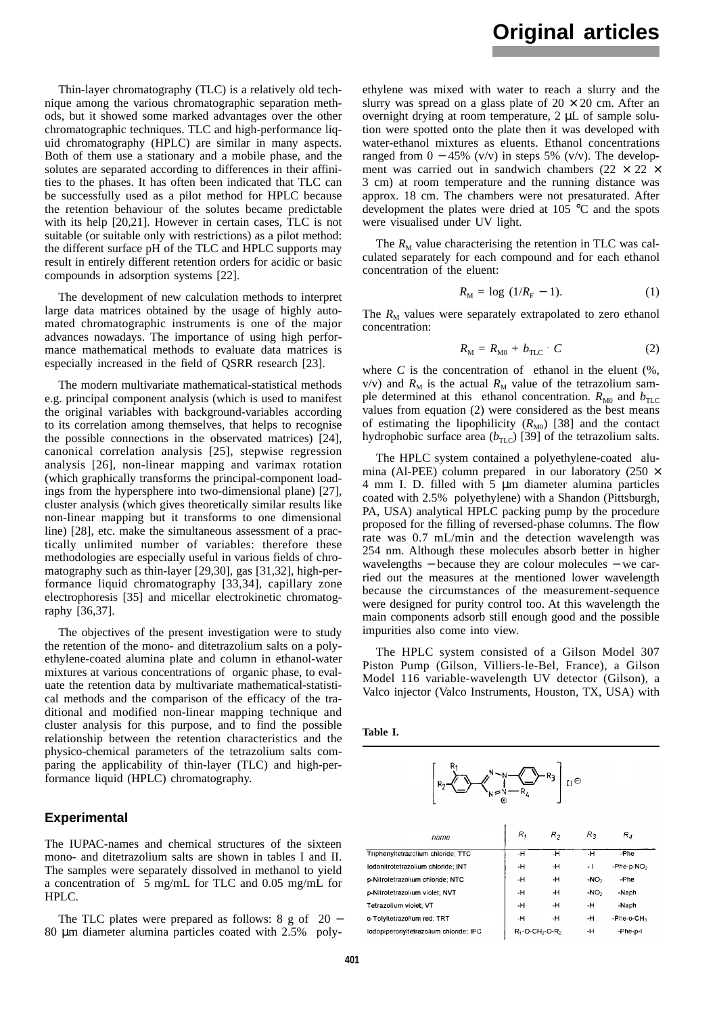Thin-layer chromatography (TLC) is a relatively old technique among the various chromatographic separation methods, but it showed some marked advantages over the other chromatographic techniques. TLC and high-performance liquid chromatography (HPLC) are similar in many aspects. Both of them use a stationary and a mobile phase, and the solutes are separated according to differences in their affinities to the phases. It has often been indicated that TLC can be successfully used as a pilot method for HPLC because the retention behaviour of the solutes became predictable with its help [20,21]. However in certain cases, TLC is not suitable (or suitable only with restrictions) as a pilot method: the different surface pH of the TLC and HPLC supports may result in entirely different retention orders for acidic or basic compounds in adsorption systems [22].

The development of new calculation methods to interpret large data matrices obtained by the usage of highly automated chromatographic instruments is one of the major advances nowadays. The importance of using high performance mathematical methods to evaluate data matrices is especially increased in the field of QSRR research [23].

The modern multivariate mathematical-statistical methods e.g. principal component analysis (which is used to manifest the original variables with background-variables according to its correlation among themselves, that helps to recognise the possible connections in the observated matrices) [24], canonical correlation analysis [25], stepwise regression analysis [26], non-linear mapping and varimax rotation (which graphically transforms the principal-component loadings from the hypersphere into two-dimensional plane) [27], cluster analysis (which gives theoretically similar results like non-linear mapping but it transforms to one dimensional line) [28], etc. make the simultaneous assessment of a practically unlimited number of variables: therefore these methodologies are especially useful in various fields of chromatography such as thin-layer [29,30], gas [31,32], high-performance liquid chromatography [33,34], capillary zone electrophoresis [35] and micellar electrokinetic chromatography [36,37].

The objectives of the present investigation were to study the retention of the mono- and ditetrazolium salts on a polyethylene-coated alumina plate and column in ethanol-water mixtures at various concentrations of organic phase, to evaluate the retention data by multivariate mathematical-statistical methods and the comparison of the efficacy of the traditional and modified non-linear mapping technique and cluster analysis for this purpose, and to find the possible relationship between the retention characteristics and the physico-chemical parameters of the tetrazolium salts comparing the applicability of thin-layer (TLC) and high-performance liquid (HPLC) chromatography.

### **Experimental**

The IUPAC-names and chemical structures of the sixteen mono- and ditetrazolium salts are shown in tables I and II. The samples were separately dissolved in methanol to yield a concentration of 5 mg/mL for TLC and 0.05 mg/mL for HPLC.

The TLC plates were prepared as follows:  $8 \text{ g of } 20$  − 80 µm diameter alumina particles coated with 2.5% polyethylene was mixed with water to reach a slurry and the slurry was spread on a glass plate of  $20 \times 20$  cm. After an overnight drying at room temperature, 2 µL of sample solution were spotted onto the plate then it was developed with water-ethanol mixtures as eluents. Ethanol concentrations ranged from  $0 - 45\%$  (v/v) in steps 5% (v/v). The development was carried out in sandwich chambers (22  $\times$  22  $\times$ 3 cm) at room temperature and the running distance was approx. 18 cm. The chambers were not presaturated. After development the plates were dried at 105 °C and the spots were visualised under UV light.

The  $R_M$  value characterising the retention in TLC was calculated separately for each compound and for each ethanol concentration of the eluent:

$$
R_{\rm M} = \log (1/R_{\rm F} - 1). \tag{1}
$$

The  $R_M$  values were separately extrapolated to zero ethanol concentration:

$$
R_{\rm M} = R_{\rm M0} + b_{\rm TLC} \cdot C \tag{2}
$$

where  $C$  is the concentration of ethanol in the eluent  $(\%$ ,  $v/v$ ) and  $R_M$  is the actual  $R_M$  value of the tetrazolium sample determined at this ethanol concentration.  $R_{\text{M0}}$  and  $b_{\text{TLC}}$ values from equation (2) were considered as the best means of estimating the lipophilicity  $(R_{\text{M0}})$  [38] and the contact hydrophobic surface area  $(b_{\text{TLC}})$  [39] of the tetrazolium salts.

The HPLC system contained a polyethylene-coated alumina (Al-PEE) column prepared in our laboratory (250  $\times$ 4 mm I. D. filled with 5 µm diameter alumina particles coated with 2.5% polyethylene) with a Shandon (Pittsburgh, PA, USA) analytical HPLC packing pump by the procedure proposed for the filling of reversed-phase columns. The flow rate was 0.7 mL/min and the detection wavelength was 254 nm. Although these molecules absorb better in higher wavelengths − because they are colour molecules − we carried out the measures at the mentioned lower wavelength because the circumstances of the measurement-sequence were designed for purity control too. At this wavelength the main components adsorb still enough good and the possible impurities also come into view.

The HPLC system consisted of a Gilson Model 307 Piston Pump (Gilson, Villiers-le-Bel, France), a Gilson Model 116 variable-wavelength UV detector (Gilson), a Valco injector (Valco Instruments, Houston, TX, USA) with

| Table |  |
|-------|--|
|-------|--|

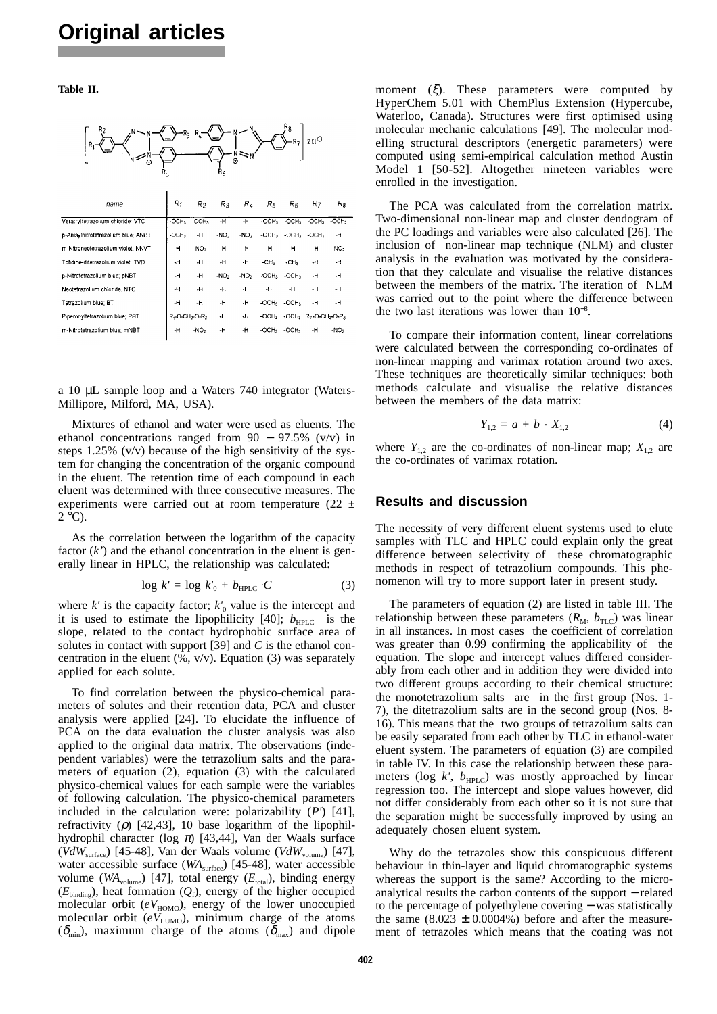#### **Table II.**



a 10 µL sample loop and a Waters 740 integrator (Waters-Millipore, Milford, MA, USA).

Mixtures of ethanol and water were used as eluents. The ethanol concentrations ranged from  $90 - 97.5\%$  (v/v) in steps 1.25% (v/v) because of the high sensitivity of the system for changing the concentration of the organic compound in the eluent. The retention time of each compound in each eluent was determined with three consecutive measures. The experiments were carried out at room temperature (22  $\pm$  $2^{\circ}$ C).

As the correlation between the logarithm of the capacity factor  $(k)$  and the ethanol concentration in the eluent is generally linear in HPLC, the relationship was calculated:

$$
\log k' = \log k'_0 + b_{\text{HPLC}} \cdot C \tag{3}
$$

where  $k'$  is the capacity factor;  $k'_0$  value is the intercept and it is used to estimate the lipophilicity [40];  $b_{\text{HPLC}}$  is the slope, related to the contact hydrophobic surface area of solutes in contact with support [39] and *C* is the ethanol concentration in the eluent  $(\%, \text{v/v})$ . Equation (3) was separately applied for each solute.

To find correlation between the physico-chemical parameters of solutes and their retention data, PCA and cluster analysis were applied [24]. To elucidate the influence of PCA on the data evaluation the cluster analysis was also applied to the original data matrix. The observations (independent variables) were the tetrazolium salts and the parameters of equation (2), equation (3) with the calculated physico-chemical values for each sample were the variables of following calculation. The physico-chemical parameters included in the calculation were: polarizability (*P'*) [41], refractivity ( $\rho$ ) [42,43], 10 base logarithm of the lipophilhydrophil character (log  $\pi$ ) [43,44], Van der Waals surface  $(VdW<sub>surface</sub>)$  [45-48], Van der Waals volume ( $VdW<sub>volume</sub>$ ) [47], water accessible surface (*WA*<sub>surface</sub>) [45-48], water accessible volume ( $WA_{volume}$ ) [47], total energy ( $E_{total}$ ), binding energy  $(E_{\text{binding}})$ , heat formation  $(Q_f)$ , energy of the higher occupied molecular orbit  $(eV_{HOMO})$ , energy of the lower unoccupied molecular orbit  $(eV_{\text{LUMO}})$ , minimum charge of the atoms  $(\delta_{\min})$ , maximum charge of the atoms  $(\delta_{\max})$  and dipole moment  $(\xi)$ . These parameters were computed by HyperChem 5.01 with ChemPlus Extension (Hypercube, Waterloo, Canada). Structures were first optimised using molecular mechanic calculations [49]. The molecular modelling structural descriptors (energetic parameters) were computed using semi-empirical calculation method Austin Model 1 [50-52]. Altogether nineteen variables were enrolled in the investigation.

The PCA was calculated from the correlation matrix. Two-dimensional non-linear map and cluster dendogram of the PC loadings and variables were also calculated [26]. The inclusion of non-linear map technique (NLM) and cluster analysis in the evaluation was motivated by the consideration that they calculate and visualise the relative distances between the members of the matrix. The iteration of NLM was carried out to the point where the difference between the two last iterations was lower than 10<sup>−</sup><sup>8</sup> .

To compare their information content, linear correlations were calculated between the corresponding co-ordinates of non-linear mapping and varimax rotation around two axes. These techniques are theoretically similar techniques: both methods calculate and visualise the relative distances between the members of the data matrix:

$$
Y_{1,2} = a + b \cdot X_{1,2} \tag{4}
$$

where  $Y_{1,2}$  are the co-ordinates of non-linear map;  $X_{1,2}$  are the co-ordinates of varimax rotation.

### **Results and discussion**

The necessity of very different eluent systems used to elute samples with TLC and HPLC could explain only the great difference between selectivity of these chromatographic methods in respect of tetrazolium compounds. This phenomenon will try to more support later in present study.

The parameters of equation (2) are listed in table III. The relationship between these parameters  $(R_M, b_{TLC})$  was linear in all instances. In most cases the coefficient of correlation was greater than 0.99 confirming the applicability of the equation. The slope and intercept values differed considerably from each other and in addition they were divided into two different groups according to their chemical structure: the monotetrazolium salts are in the first group (Nos. 1- 7), the ditetrazolium salts are in the second group (Nos. 8- 16). This means that the two groups of tetrazolium salts can be easily separated from each other by TLC in ethanol-water eluent system. The parameters of equation (3) are compiled in table IV. In this case the relationship between these parameters (log  $k'$ ,  $b_{\text{HPLC}}$ ) was mostly approached by linear regression too. The intercept and slope values however, did not differ considerably from each other so it is not sure that the separation might be successfully improved by using an adequately chosen eluent system.

Why do the tetrazoles show this conspicuous different behaviour in thin-layer and liquid chromatographic systems whereas the support is the same? According to the microanalytical results the carbon contents of the support − related to the percentage of polyethylene covering − was statistically the same  $(8.023 \pm 0.0004\%)$  before and after the measurement of tetrazoles which means that the coating was not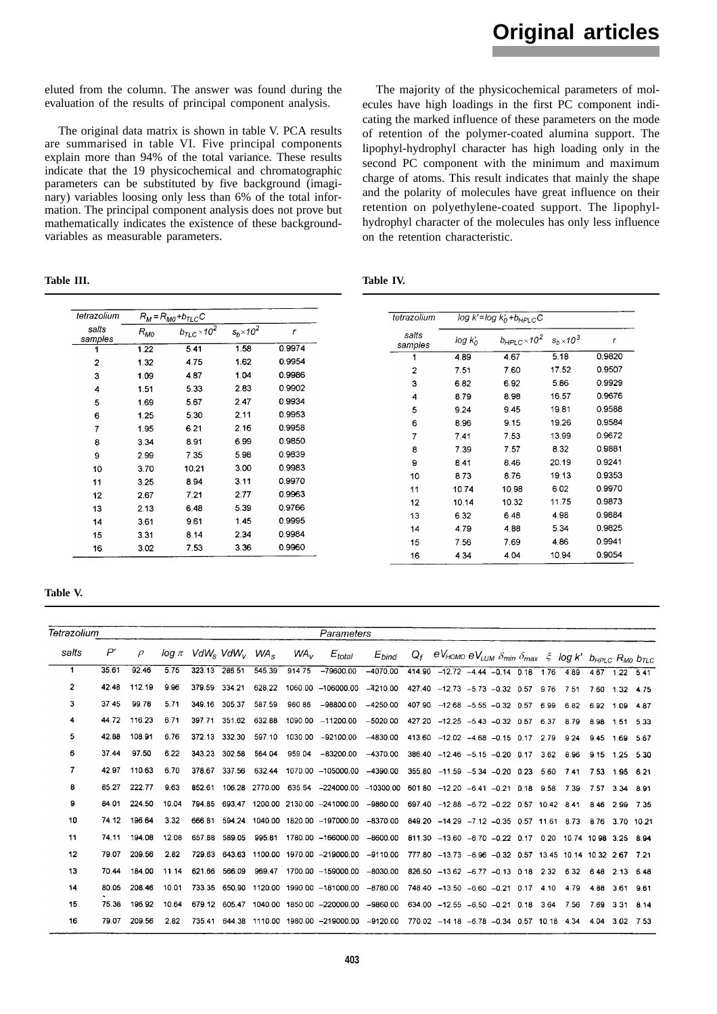eluted from the column. The answer was found during the evaluation of the results of principal component analysis.

The original data matrix is shown in table V. PCA results are summarised in table VI. Five principal components explain more than 94% of the total variance. These results indicate that the 19 physicochemical and chromatographic parameters can be substituted by five background (imaginary) variables loosing only less than 6% of the total information. The principal component analysis does not prove but mathematically indicates the existence of these backgroundvariables as measurable parameters.

| Table | Ш |
|-------|---|
|-------|---|

The majority of the physicochemical parameters of molecules have high loadings in the first PC component indicating the marked influence of these parameters on the mode of retention of the polymer-coated alumina support. The lipophyl-hydrophyl character has high loading only in the second PC component with the minimum and maximum charge of atoms. This result indicates that mainly the shape and the polarity of molecules have great influence on their retention on polyethylene-coated support. The lipophylhydrophyl character of the molecules has only less influence on the retention characteristic.

| Table III. | Table IV. |
|------------|-----------|
|            |           |

| tetrazolium      |          | $R_M = R_{M0} + b_{TLC}C$    |                   |        | tetrazolium |               | $\overline{\log k'}$ = $\log k'_0 + b_{\text{HPLC}}$ C |                   |                             |
|------------------|----------|------------------------------|-------------------|--------|-------------|---------------|--------------------------------------------------------|-------------------|-----------------------------|
| salts<br>samples | $R_{MO}$ | $b_{\text{TLC}} \times 10^2$ | $s_b \times 10^2$ | r      | salts       | $log k'_0$    | $b_{HPLC}\times$ 10 <sup>2</sup>                       | $s_b \times 10^3$ | $\mathcal{L}_{\mathcal{L}}$ |
|                  | 1.22     | 5.41                         | 1.58              | 0.9974 | samples     |               | 4.67                                                   | 5.18              | 0.9820                      |
| 2                | 1.32     | 4.75                         | 1.62              | 0.9954 |             | 4.89          |                                                        |                   | 0.9507                      |
| 3                | 1.09     | 4.87                         | 1.04              | 0.9986 | 2           | 7.51          | 760                                                    | 17.52             |                             |
| 4                | 1.51     | 5.33                         | 2.83              | 0.9902 | 3           | 6.82          | 6.92                                                   | 5.86              | 0.9929                      |
| 5                | 1.69     | 5.67                         | 2.47              | 0.9934 | 4           | 8.79          | 8.98                                                   | 16.57             | 0.9676                      |
| 6                | 1.25     | 5.30                         | 2.11              | 0.9953 | 5           | 9.24          | 9.45                                                   | 19.81             | 0.9588                      |
| 7                | 1.95     | 6.21                         | 2.16              | 0.9958 | 6           | 8.96          | 9.15                                                   | 19.26             | 0.9584                      |
| 8                | 3.34     | 8.91                         | 6.99              | 0.9850 | 7           | 7.41          | 7.53                                                   | 13.99             | 0.9672                      |
|                  | 2.99     | 7.35                         | 5.98              | 0.9839 | 8           | 7.39          | 7.57                                                   | 8.32              | 0.9881                      |
| 9                |          |                              |                   | 0.9983 | 9           | 8.41          | 8.46                                                   | 20.19             | 0.9241                      |
| 10               | 3.70     | 10.21                        | 3.00              |        | 10          | 8.73          | 8.76                                                   | 19.13             | 0.9353                      |
| 11               | 3.25     | 8.94                         | 3.11              | 0.9970 | 11          | 10.74         | 10.98                                                  | 6.02              | 0.9970                      |
| 12               | 2.67     | 7.21                         | 2.77              | 0.9963 | 12          | 10.14         | 10.32                                                  | 11.75             | 0.9873                      |
| 13               | 2.13     | 6.48                         | 5.39              | 0.9766 | 13          | 6.32          | 6.48                                                   | 4.98              | 0.9884                      |
| 14               | 3.61     | 9.61                         | 1.45              | 0.9995 | 14          | 4.79          | 4.88                                                   | 5.34              | 0.9825                      |
| 15               | 3.31     | 8.14                         | 2.34              | 0.9984 |             |               |                                                        |                   | 0.9941                      |
| 16               | 3.02     | 7.53                         | 3.36              | 0.9960 | 15<br>16    | 7.56<br>4 3 4 | 7.69<br>4.04                                           | 4.86<br>10.94     | 0.9054                      |

**Table V.**

| Tetrazolium    |       |               |       |                                                              |        |                |                 | Parameters                                                      |            |       |                                                                                                                 |  |      |      |                 |                |  |
|----------------|-------|---------------|-------|--------------------------------------------------------------|--------|----------------|-----------------|-----------------------------------------------------------------|------------|-------|-----------------------------------------------------------------------------------------------------------------|--|------|------|-----------------|----------------|--|
| salts          | P'    | $\mathcal{P}$ |       | $\log \pi$ VdW <sub>s</sub> VdW <sub>v</sub> WA <sub>s</sub> |        |                | WA <sub>v</sub> | $E_{total}$                                                     | $E_{bind}$ | $Q_f$ | eV <sub>HOMO</sub> eV <sub>LUM</sub> $\delta_{min}$ $\delta_{max}$ $\zeta$ log k' $b_{HPLC}$ $R_{MO}$ $b_{TLC}$ |  |      |      |                 |                |  |
| 1              | 35.61 | 92.46         | 5.75  | 323.13                                                       | 286.51 | 545.39         | 914.75          | $-79600.00$                                                     | $-4070.00$ |       | 414.90 $-12.72$ $-4.44$ $-0.14$ 0.18 1.76                                                                       |  |      | 4.89 |                 | 4.67 1.22 5.41 |  |
| $\overline{2}$ | 42.48 | 112.19        | 9.96  | 379.59                                                       | 334.21 | 628.22         |                 | 1060.00 -106000.00                                              | $-4210.00$ |       | 427.40 -12.73 -5.73 -0.32 0.57 9.76                                                                             |  |      | 7.51 |                 | 7.60 1.32 4.75 |  |
| 3              | 37.45 | 99.78         | 5.71  | 349.16                                                       | 305.37 | 587.59         | 980.86          | $-98800.00$                                                     | $-4250.00$ |       | 407.90 -12.68 -5.55 -0.32 0.57 6.99                                                                             |  |      | 6.82 |                 | 6.92 1.09 4.87 |  |
| 4              | 44.72 | 116.23        | 6.71  | 397.71                                                       | 351.62 | 632.88         |                 | 1090.00 -11200.00                                               | $-5020.00$ |       | 427.20 -12.25 -5.43 -0.32 0.57 6.37                                                                             |  |      | 8.79 | 8.98 1.51 5.33  |                |  |
| 5              | 42.88 | 108.91        | 6.76  | 372.13                                                       | 332.30 | 597.10         |                 | 1030.00 -92100.00                                               | $-4830.00$ |       | 413.60 -12.02 -4.68 -0.15 0.17 2.79                                                                             |  |      | 9.24 | 9.45            | 1.69 5.67      |  |
| 6              | 37.44 | 97.50         | 6.22  | 343.23                                                       | 302.58 | 564.04         | 959.04          | -83200.00                                                       | $-4370.00$ |       | 386.40 -12.46 -5.15 -0.20 0.17                                                                                  |  | 3.62 | 8.96 | 9.15 1.25 5.30  |                |  |
| 7              | 42.97 | 110.63        | 6.70  | 378.67                                                       | 337.56 | 632.44         |                 | 1070.00 -105000.00                                              | $-4390.00$ |       | $355.80 -11.59 -5.34 -0.20 0.23$                                                                                |  | 5.60 | 7.41 |                 | 7.53 1.95 6.21 |  |
| 8              | 85.27 | 222.77        | 9.63  | 852.61                                                       |        | 106.28 2770.00 |                 | 635.54 -224000.00 -10300.00 601.80 -12.20 -6.41 -0.21 0.18 9.58 |            |       |                                                                                                                 |  |      | 7.39 | 7.57            | 3.34 8.91      |  |
| 9              | 84.01 | 224.50        | 10.04 |                                                              |        |                |                 | 794.85 693.47 1200.00 2130.00 -241000.00                        | -9860.00   |       | 697.40 -12.88 -6.72 -0.22 0.57 10.42 8.41                                                                       |  |      |      |                 | 8.46 2.99 7.35 |  |
| 10             | 74.12 | 196.64        | 3.32  | 666.81                                                       | 594.24 | 1040.00        |                 | 1820.00 -197000.00 -8370.00                                     |            |       | 849.20 -14.29 -7.12 -0.35 0.57 11.61 8.73                                                                       |  |      |      | 8.76 3.70 10.21 |                |  |
| 11             | 74.11 | 194.08        | 12.08 | 657.88                                                       | 589.05 | 995.81         |                 | 1780.00 -166000.00                                              | $-8600.00$ |       | 811.30 -13.60 -6.70 -0.22 0.17 0.20 10.74 10.98 3.25 8.94                                                       |  |      |      |                 |                |  |
| 12             | 79.07 | 209.56        | 2.82  |                                                              |        |                |                 | 729.63 643.63 1100.00 1970.00 -219000.00 -9110.00               |            |       | 777.80 -13.73 -6.96 -0.32 0.57 13.45 10.14 10.32 2.67 7.21                                                      |  |      |      |                 |                |  |
| 13             | 70.44 | 184.00        | 11.14 | 621.66                                                       | 566.09 | 969.47         |                 | 1700.00 -159000.00                                              | $-8030.00$ |       | 826.50 -13.62 -6.77 -0.13 0.18 2.32 6.32 6.48 2.13 6.48                                                         |  |      |      |                 |                |  |
| 14             | 80.05 | 208.46        | 10.01 |                                                              |        |                |                 | 733.35 650.90 1120.00 1990.00 -181000.00 -8780.00               |            |       | 748.40 -13.50 -6.60 -0.21 0.17 4.10                                                                             |  |      | 4.79 |                 | 4.88 3.61 9.61 |  |
| 15             | 75.38 | 196.92        | 10.64 |                                                              |        |                |                 | 679.12 605.47 1040.00 1850.00 -220000.00                        | $-9860.00$ |       | $634.00 -12.55 -6.50 -0.21 0.18 3.64$                                                                           |  |      | 7.56 | 7.69 3.31 8.14  |                |  |
| 16             | 79.07 | 209.56        | 2.82  | 735.41                                                       | 644.38 |                |                 | 1110.00 1980.00 -219000.00                                      | $-9120.00$ |       | 770.02 -14.18 -6.78 -0.34 0.57 10.18                                                                            |  |      | 4.34 | 4.04            | 3.02 7.53      |  |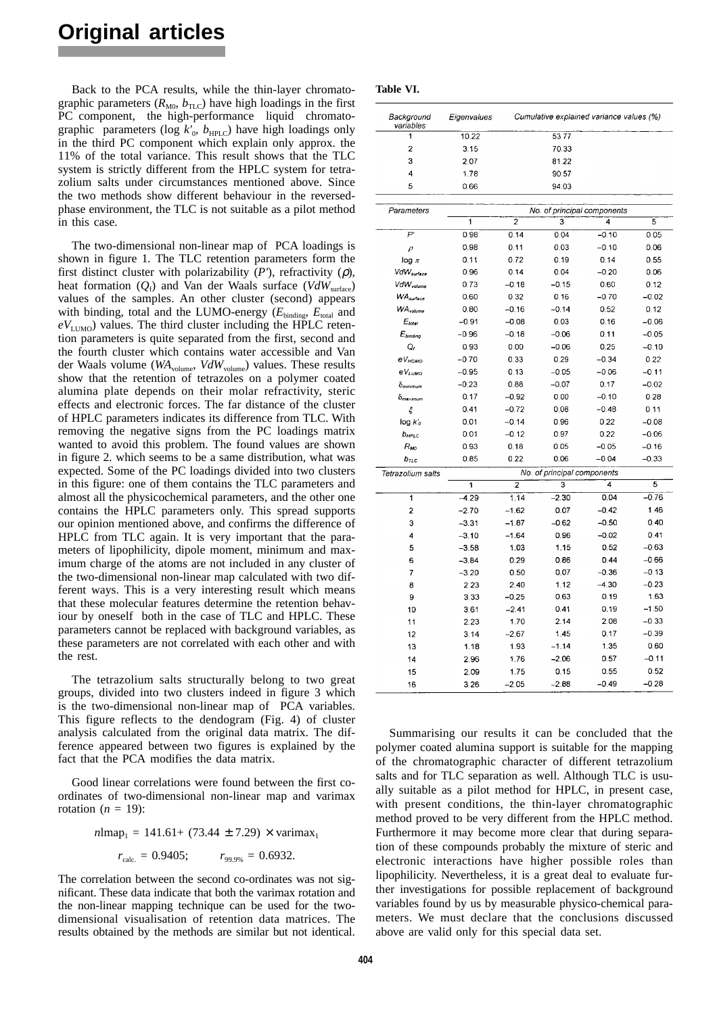Back to the PCA results, while the thin-layer chromatographic parameters  $(R_{M0}, b_{TLC})$  have high loadings in the first PC component, the high-performance liquid chromatographic parameters (log  $k'_{0}$ ,  $b_{\text{HPLC}}$ ) have high loadings only in the third PC component which explain only approx. the 11% of the total variance. This result shows that the TLC system is strictly different from the HPLC system for tetrazolium salts under circumstances mentioned above. Since the two methods show different behaviour in the reversedphase environment, the TLC is not suitable as a pilot method in this case.

The two-dimensional non-linear map of PCA loadings is shown in figure 1*.* The TLC retention parameters form the first distinct cluster with polarizability  $(P')$ , refractivity  $(\rho)$ , heat formation (*Q<sub>f</sub>*) and Van der Waals surface (*VdW*<sub>surface</sub>) values of the samples. An other cluster (second) appears with binding, total and the LUMO-energy ( $E_{\text{binding}}$ ,  $E_{\text{total}}$  and  $eV_{\text{LUMO}}$ ) values. The third cluster including the HPLC retention parameters is quite separated from the first, second and the fourth cluster which contains water accessible and Van der Waals volume (*WA*<sub>volume</sub>, *VdW*<sub>volume</sub>) values. These results show that the retention of tetrazoles on a polymer coated alumina plate depends on their molar refractivity, steric effects and electronic forces. The far distance of the cluster of HPLC parameters indicates its difference from TLC. With removing the negative signs from the PC loadings matrix wanted to avoid this problem. The found values are shown in figure 2*.* which seems to be a same distribution, what was expected. Some of the PC loadings divided into two clusters in this figure: one of them contains the TLC parameters and almost all the physicochemical parameters, and the other one contains the HPLC parameters only. This spread supports our opinion mentioned above, and confirms the difference of HPLC from TLC again. It is very important that the parameters of lipophilicity, dipole moment, minimum and maximum charge of the atoms are not included in any cluster of the two-dimensional non-linear map calculated with two different ways. This is a very interesting result which means that these molecular features determine the retention behaviour by oneself both in the case of TLC and HPLC. These parameters cannot be replaced with background variables, as these parameters are not correlated with each other and with the rest.

The tetrazolium salts structurally belong to two great groups, divided into two clusters indeed in figure 3 which is the two-dimensional non-linear map of PCA variables. This figure reflects to the dendogram (Fig. 4) of cluster analysis calculated from the original data matrix. The difference appeared between two figures is explained by the fact that the PCA modifies the data matrix.

Good linear correlations were found between the first coordinates of two-dimensional non-linear map and varimax rotation  $(n = 19)$ :

$$
n
$$
lmap<sub>1</sub> = 141.61+ (73.44 ± 7.29) × varimaz<sub>1</sub>

$$
r_{\rm calc.} = 0.9405; \qquad r_{99.9\%} = 0.6932.
$$

The correlation between the second co-ordinates was not significant. These data indicate that both the varimax rotation and the non-linear mapping technique can be used for the twodimensional visualisation of retention data matrices. The results obtained by the methods are similar but not identical.

| Table VI. |
|-----------|
|-----------|

| Background<br>variables | Eigenvalues    |                | Cumulative explained variance values (%) |         |         |
|-------------------------|----------------|----------------|------------------------------------------|---------|---------|
| 1                       | 10.22          |                | 53.77                                    |         |         |
| 2                       | 3.15           |                | 70.33                                    |         |         |
| 3                       | 2.07           |                | 81.22                                    |         |         |
| 4                       | 1.78           |                | 90.57                                    |         |         |
| 5                       | 0.66           |                | 94.03                                    |         |         |
|                         |                |                |                                          |         |         |
| Parameters              |                |                | No. of principal components              |         |         |
|                         | $\overline{1}$ | $\overline{2}$ | 3                                        | 4       | 5       |
| $\bar{P}$               | 0.98           | 0.14           | 0.04                                     | $-0.10$ | 0.05    |
| $\rho$                  | 0.98           | 0.11           | 0.03                                     | $-0.10$ | 0.06    |
| $log \pi$               | 0.11           | 0.72           | 0.19                                     | 0.14    | 0.55    |
| VdW <sub>surface</sub>  | 0.96           | 0.14           | 0.04                                     | $-0.20$ | 0.06    |
| VdW <sub>volume</sub>   | 0.73           | $-0.18$        | $-0.15$                                  | 0.60    | 0.12    |
| <b>WA</b> surface       | 0.60           | 0.32           | 0.16                                     | $-0.70$ | $-0.02$ |
| <b>WA</b> volume        | 0.80           | $-0.16$        | $-0.14$                                  | 0.52    | 0.12    |
| $E_{total}$             | $-0.91$        | $-0.08$        | 0.03                                     | 0.16    | $-0.06$ |
| $E_{binding}$           | $-0.96$        | $-0.18$        | $-0.06$                                  | 0.11    | $-0.05$ |
| Q,                      | 0.93           | 0.00           | $-0.06$                                  | 0.25    | $-0.10$ |
| еV <sub>номо</sub>      | $-0.70$        | 0.33           | 0.29                                     | $-0.34$ | 0.22    |
| eVLUMO                  | $-0.95$        | 0.13           | $-0.05$                                  | $-0.06$ | $-0.11$ |
| $\delta$ minimum        | $-0.23$        | 0.88           | $-0.07$                                  | 0.17    | $-0.02$ |
| δ <sub>maximum</sub>    | 0.17           | $-0.92$        | 0.00                                     | $-0.10$ | 0.28    |
| ξ                       | 0.41           | $-0.72$        | 0.08                                     | $-0.48$ | 0.11    |
| $log$ $k'_0$            | 0.01           | $-0.14$        | 0.96                                     | 0.22    | $-0.08$ |
| $b_{HPLC}$              | 0.01           | $-0.12$        | 0.97                                     | 0.22    | $-0.06$ |
| $R_{M0}$                | 0.93           | 0.18           | 0.05                                     | $-0.05$ | $-0.16$ |
| $b_{\text{ILC}}$        | 0.85           | 0.22           | 0.06                                     | $-0.04$ | $-0.33$ |
| Tetrazolium salts       |                |                | No. of principal components              |         |         |
|                         | 1              | $\overline{2}$ | 3                                        | 4       | 5       |
| 1                       | $-4.29$        | 1.14           | $-2.30$                                  | 0.04    | $-0.76$ |
| $\overline{\mathbf{2}}$ | $-2.70$        | $-1.62$        | 0.07                                     | $-0.42$ | 1.46    |
| 3                       | $-3.31$        | $-1.87$        | $-0.62$                                  | $-0.50$ | 0.40    |
| 4                       | $-3.10$        | $-1.64$        | 0.96                                     | $-0.02$ | 0.41    |
| 5                       | $-3.58$        | 1.03           | 1.15                                     | 0.52    | $-0.63$ |
| 6                       | $-3.84$        | 0.29           | 0.86                                     | 0.44    | $-0.66$ |
| 7                       | $-3.20$        | 0.50           | 0.07                                     | $-0.36$ | $-0.13$ |
| 8                       | 2.23           | 2.40           | 1.12                                     | $-4.30$ | $-0.23$ |
| 9                       | 3.33           | $-0.25$        | 0.63                                     | 0.19    | 1.63    |
| 10                      | 3.61           | $-2.41$        | 0.41                                     | 0.19    | $-1.50$ |
| 11                      | 2.23           | 1.70           | 2.14                                     | 2.08    | $-0.33$ |
| 12                      | 3.14           | $-2.67$        | 1.45                                     | 0.17    | $-0.39$ |
| 13                      | 1.18           | 1.93           | $-1.14$                                  | 1.35    | 0.60    |
| 14                      | 2.96           | 1.76           | $-2.06$                                  | 0.57    | $-0.11$ |
| 15                      | 2.09           | 1.75           | 0.15                                     | 0.55    | 0.52    |
| 16                      | 3.26           | $-2.05$        | $-2.88$                                  | $-0.49$ | $-0.28$ |
|                         |                |                |                                          |         |         |

Summarising our results it can be concluded that the polymer coated alumina support is suitable for the mapping of the chromatographic character of different tetrazolium salts and for TLC separation as well. Although TLC is usually suitable as a pilot method for HPLC, in present case, with present conditions, the thin-layer chromatographic method proved to be very different from the HPLC method. Furthermore it may become more clear that during separation of these compounds probably the mixture of steric and electronic interactions have higher possible roles than lipophilicity. Nevertheless, it is a great deal to evaluate further investigations for possible replacement of background variables found by us by measurable physico-chemical parameters. We must declare that the conclusions discussed above are valid only for this special data set.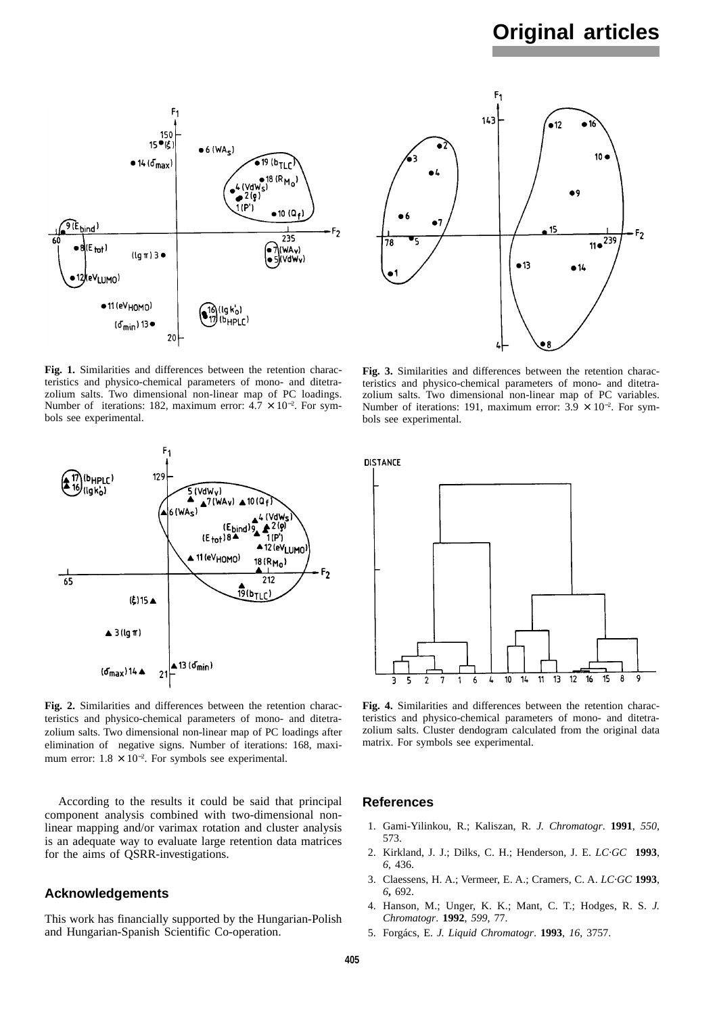# **Original articles**



**Fig. 1.** Similarities and differences between the retention characteristics and physico-chemical parameters of mono- and ditetrazolium salts. Two dimensional non-linear map of PC loadings. Number of iterations: 182, maximum error:  $4.7 \times 10^{-2}$ . For symbols see experimental.



**Fig. 2.** Similarities and differences between the retention characteristics and physico-chemical parameters of mono- and ditetrazolium salts. Two dimensional non-linear map of PC loadings after elimination of negative signs. Number of iterations: 168, maximum error:  $1.8 \times 10^{-2}$ . For symbols see experimental.

According to the results it could be said that principal component analysis combined with two-dimensional nonlinear mapping and/or varimax rotation and cluster analysis is an adequate way to evaluate large retention data matrices for the aims of QSRR-investigations.

## **Acknowledgements**

This work has financially supported by the Hungarian-Polish and Hungarian-Spanish Scientific Co-operation.



**Fig. 3.** Similarities and differences between the retention characteristics and physico-chemical parameters of mono- and ditetrazolium salts. Two dimensional non-linear map of PC variables. Number of iterations: 191, maximum error:  $3.9 \times 10^{-2}$ . For symbols see experimental.

**DISTANCE** 



**Fig. 4.** Similarities and differences between the retention characteristics and physico-chemical parameters of mono- and ditetrazolium salts. Cluster dendogram calculated from the original data matrix. For symbols see experimental.

#### **References**

- 1. Gami-Yilinkou, R.; Kaliszan, R. *J. Chromatogr*. **1991**, *550*, 573.
- 2. Kirkland, J. J.; Dilks, C. H.; Henderson, J. E. *LC·GC* **1993**, *6*, 436.
- 3. Claessens, H. A.; Vermeer, E. A.; Cramers, C. A. *LC·GC* **1993**, *6***,** 692.
- 4. Hanson, M.; Unger, K. K.; Mant, C. T.; Hodges, R. S. *J. Chromatogr*. **1992**, *599*, 77.
- 5. Forgács, E. *J. Liquid Chromatogr*. **1993**, *16*, 3757.